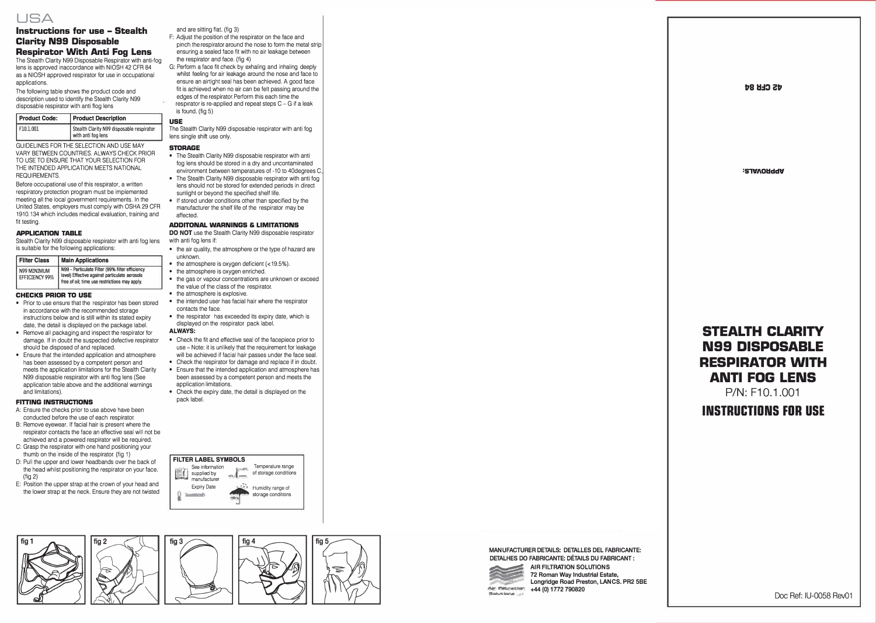

### **Instructions for use** - **Stealth Clarity N99 Disposable Respirator With Anti Fog Lens**

The Stealth Clarity N99 Disposable Respirator with anti-fog lens is approved inaccordance with NIOSH 42 CFR 84 as a NIOSH approved respirator for use in occupational applications.

The following table shows the product code and description used to identify the Stealth Clarity N99 disposable respirator with anti flog lens

| <b>Product Code:</b> | <b>Product Description</b>                                      |  |
|----------------------|-----------------------------------------------------------------|--|
| F10.1.001            | Stealth Clarity N99 disposable respirator<br>with anti fog lens |  |

GUIDELINES FOR THE SELECTION AND USE MAY VARY BETWEEN COUNTRIES. ALWAYS CHECK PRIOR TO USE TO ENSURE THAT YOUR SELECTION FOR THE INTENDED APPLICATION MEETS NATIONAL REQUIREMENTS.

Before occupational use of this respirator, a written respiratory protection program must be implemented meeting all the local government requirements. In the United States, employers must comply with OSHA 29 CFR 1910.134 which includes medical evaluation, training and fit testing.

#### **APPLICATION TABLE**

Stealth Clarity N99 disposable respirator with anti fog lens is suitable for the following applications:

| <b>Filter Class</b> | <b>Main Applications</b>                        |  |  |
|---------------------|-------------------------------------------------|--|--|
| N99 MINIMUM         | N99 - Particulate Filter (99% filter efficiency |  |  |

#### **CHECKS PRIOR TO USE**

- Prior to use ensure that the respirator has been stored in accordance with the recommended storage instructions below and is still within its stated expiry date, the detail is displayed on the package label.
- Remove all packaging and inspect the respirator for damage. If in doubt the suspected defective respirator should be disposed of and replaced.
- Ensure that the intended application and atmosphere has been assessed by a competent person and meets the application limitations for the Stealth Clarity N99 disposable respirator with anti flog lens (See application table above and the additional warnings and limitations).

#### **FITTING INSTRUCTIONS**

- A: Ensure the checks prior to use above have been conducted before the use of each respirator.
- B: Remove eyewear. If facial hair is present where the respirator contacts the face an effective seal will not be achieved and a powered respirator will be required.
- C: Grasp the respirator with one hand positioning your thumb on the inside of the respirator. (fig 1)
- D: Pull the upper and lower headbands over the back of the head whilst positioning the respirator on your face.  $(\text{fin } 2)$
- E: Position the upper strap at the crown of your head and the lower strap at the neck. Ensure they are not twisted

and are sitting flat. (fig. 3)

- F: Adjust the position of the respirator on the face and pinch the respirator around the nose to form the metal strip ensuring a sealed face fit with no air leakage between the respirator and face. (fig 4)
- G: Perform a face fit check by exhaling and inhaling deeply whilst feeling for air leakage around the nose and face to ensure an airtight seal has been achieved. A good face fit is achieved when no air can be felt passing around the edges of the respirator. Pertorm this each time the respirator is re-applied and repeat steps C - G if a leak is found. (fig 5)

**USE**  The Stealth Clarity N99 disposable respirator with anti fog lens single shift use only.

#### **STORAGE**

- The Stealth Clarity N99 disposable respirator with anti fog lens should be stored in a dry and uncontaminated environment between temperatures of -10 to 40degrees C
- The Stealth Clarity N99 disposable respirator with anti fog lens should not be stored for extended periods in direct sunlight or beyond the specified shelf life.
- If stored under conditions other than specified by the manufacturer the shelf life of the respirator may be affected.

#### **ADDITONAL WARNINGS & LIMITATIONS**

**DO NOT** use the Stealth Clarity N99 disposable respirator with anti fog lens if:

- the air quality, the atmosphere or the type of hazard are unknown.
- the atmosphere is oxygen deficient (<19.5%).
- the atmosphere is oxygen enriched.
- the gas or vapour concentrations are unknown or exceed the value of the class of the respirator.
- the atmosphere is explosive.
- the intended user has facial hair where the respirator contacts the face.
- the respirator has exceeded its expiry date, which is displayed on the respirator pack label.

#### **ALWAYS:**

- Check the fit and effective seal of the facepiece prior to use - Note: it is unlikely that the requirement for leakage will be achieved if facial hair passes under the face seal.
- Check the respirator for damage and replace if in doubt. • Ensure that the intended application and atmosphere has been assessed by a competent person and meets the application limitations.
- Check the expiry date, the detail is displayed on the pack label.

storage conditions

#### **FILTER LABEL SYMBOLS**  *i* supplied by See information -  $\sim$ Temperature range of storage conditions manufacture Expiry Date �- ,.. Humidity range of





MANUFACTURER DETAILS: DETALLES DEL FABRICANTE: DETALHES DO FABRICANTE: DÉTAILS DU FABRICANT :



AIR FILTRATION SOLUTIONS 72 Roman Way Industrial Estate, **Air Filtration +44 (0) 1772 790820** Longridge Road Preston, LANCS. PR2 SBE

# **STEALTH CLARITY N99 DISPOSABLE RESPIRATOR WITH ANTI FOG LENS**

P/N: F10.1.001

**INSTRUCTIONS FDR USE** 

Doc Ref: IU-0058 Rev01

**dS CHR 84** 

**'S"lll"I\Ollddlt**